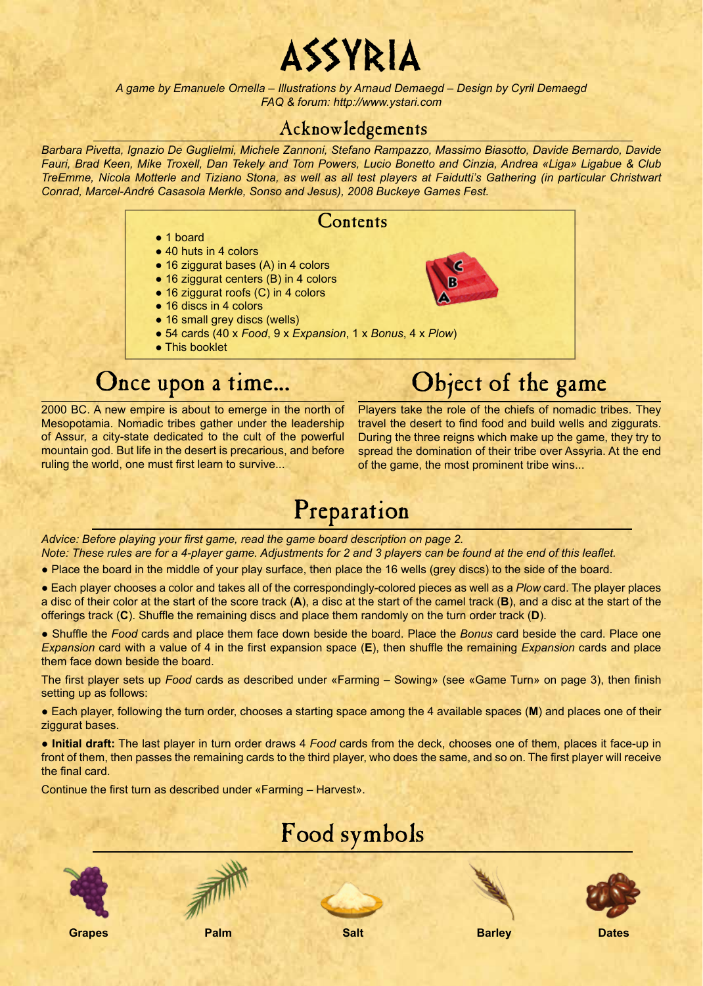# ASSYRIA

*A game by Emanuele Ornella – Illustrations by Arnaud Demaegd – Design by Cyril Demaegd FAQ & forum: http://www.ystari.com*

### Acknowledgements

*Barbara Pivetta, Ignazio De Guglielmi, Michele Zannoni, Stefano Rampazzo, Massimo Biasotto, Davide Bernardo, Davide Fauri, Brad Keen, Mike Troxell, Dan Tekely and Tom Powers, Lucio Bonetto and Cinzia, Andrea «Liga» Ligabue & Club TreEmme, Nicola Motterle and Tiziano Stona, as well as all test players at Faidutti's Gathering (in particular Christwart Conrad, Marcel-André Casasola Merkle, Sonso and Jesus), 2008 Buckeye Games Fest.*

### **Contents**

- 1 board
- 40 huts in 4 colors
- 16 ziggurat bases (A) in 4 colors
- 16 ziggurat centers (B) in 4 colors
- 16 ziggurat roofs (C) in 4 colors
- 16 discs in 4 colors
- 16 small grey discs (wells)
- 54 cards (40 x *Food*, 9 x *Expansion*, 1 x *Bonus*, 4 x *Plow*)
- This booklet

### Once upon a time...

2000 BC. A new empire is about to emerge in the north of Mesopotamia. Nomadic tribes gather under the leadership of Assur, a city-state dedicated to the cult of the powerful mountain god. But life in the desert is precarious, and before

ruling the world, one must first learn to survive...

Players take the role of the chiefs of nomadic tribes. They travel the desert to find food and build wells and ziggurats. During the three reigns which make up the game, they try to spread the domination of their tribe over Assyria. At the end of the game, the most prominent tribe wins...

Object of the game

œ m

## Preparation

*Advice: Before playing your first game, read the game board description on page 2.*

*Note: These rules are for a 4-player game. Adjustments for 2 and 3 players can be found at the end of this leaflet.* 

● Place the board in the middle of your play surface, then place the 16 wells (grey discs) to the side of the board.

● Each player chooses a color and takes all of the correspondingly-colored pieces as well as a *Plow* card. The player places a disc of their color at the start of the score track (**A**), a disc at the start of the camel track (**B**), and a disc at the start of the offerings track (**C**). Shuffle the remaining discs and place them randomly on the turn order track (**D**).

● Shuffle the *Food* cards and place them face down beside the board. Place the *Bonus* card beside the card. Place one *Expansion* card with a value of 4 in the first expansion space (**E**), then shuffle the remaining *Expansion* cards and place them face down beside the board.

The first player sets up *Food* cards as described under «Farming – Sowing» (see «Game Turn» on page 3), then finish setting up as follows:

● Each player, following the turn order, chooses a starting space among the 4 available spaces (**M**) and places one of their ziggurat bases.

● **Initial draft:** The last player in turn order draws 4 *Food* cards from the deck, chooses one of them, places it face-up in front of them, then passes the remaining cards to the third player, who does the same, and so on. The first player will receive the final card.

Continue the first turn as described under «Farming – Harvest».

### Food symbols





**Grapes Palm Salt Barley Dates**







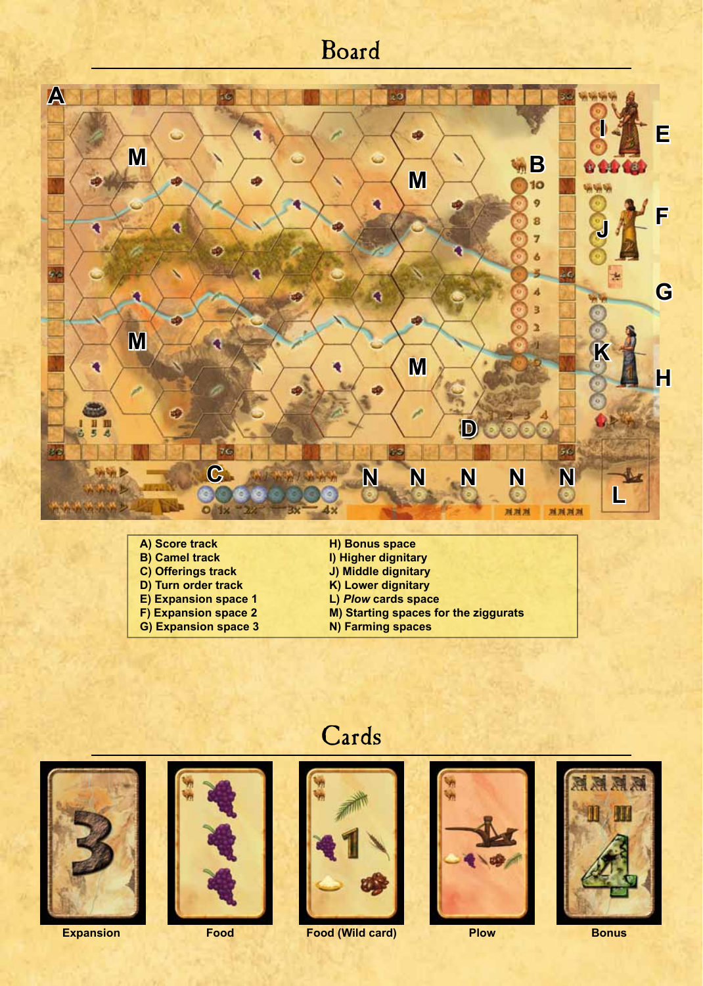### Board



- **A) Score track B) Camel track C) Offerings track D) Turn order track E) Expansion space 1 F) Expansion space 2 G) Expansion space 3**
- **H) Bonus space I) Higher dignitary J) Middle dignitary K) Lower dignitary L)** *Plow* **cards space M) Starting spaces for the ziggurats**
	- **N) Farming spaces**



Cards



**Expansion Food Plow Bonus Food (Wild card)**



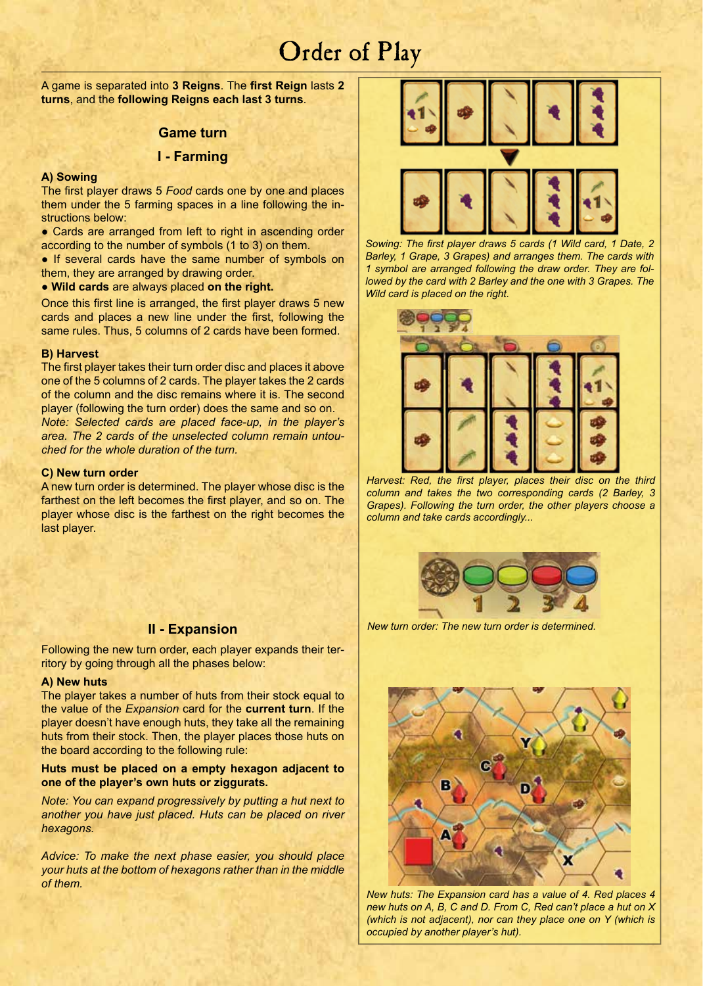### Order of Play

A game is separated into **3 Reigns**. The **first Reign** lasts **2 turns**, and the **following Reigns each last 3 turns**.

#### **Game turn**

#### **I - Farming**

#### **A) Sowing**

The first player draws 5 *Food* cards one by one and places them under the 5 farming spaces in a line following the instructions below:

• Cards are arranged from left to right in ascending order according to the number of symbols (1 to 3) on them.

• If several cards have the same number of symbols on them, they are arranged by drawing order.

#### ● **Wild cards** are always placed **on the right.**

Once this first line is arranged, the first player draws 5 new cards and places a new line under the first, following the same rules. Thus, 5 columns of 2 cards have been formed.

#### **B) Harvest**

The first player takes their turn order disc and places it above one of the 5 columns of 2 cards. The player takes the 2 cards of the column and the disc remains where it is. The second player (following the turn order) does the same and so on. *Note: Selected cards are placed face-up, in the player's area. The 2 cards of the unselected column remain untouched for the whole duration of the turn.* 

#### **C) New turn order**

A new turn order is determined. The player whose disc is the farthest on the left becomes the first player, and so on. The player whose disc is the farthest on the right becomes the last player.

#### **II - Expansion**

Following the new turn order, each player expands their territory by going through all the phases below:

#### **A) New huts**

The player takes a number of huts from their stock equal to the value of the *Expansion* card for the **current turn**. If the player doesn't have enough huts, they take all the remaining huts from their stock. Then, the player places those huts on the board according to the following rule:

#### **Huts must be placed on a empty hexagon adjacent to one of the player's own huts or ziggurats.**

*Note: You can expand progressively by putting a hut next to another you have just placed. Huts can be placed on river hexagons.*

*Advice: To make the next phase easier, you should place your huts at the bottom of hexagons rather than in the middle of them.*



*Sowing: The first player draws 5 cards (1 Wild card, 1 Date, 2 Barley, 1 Grape, 3 Grapes) and arranges them. The cards with 1 symbol are arranged following the draw order. They are followed by the card with 2 Barley and the one with 3 Grapes. The Wild card is placed on the right.* 



*Harvest: Red, the first player, places their disc on the third column and takes the two corresponding cards (2 Barley, 3 Grapes). Following the turn order, the other players choose a column and take cards accordingly...*



*New turn order: The new turn order is determined.*



*New huts: The Expansion card has a value of 4. Red places 4 new huts on A, B, C and D. From C, Red can't place a hut on X (which is not adjacent), nor can they place one on Y (which is occupied by another player's hut).*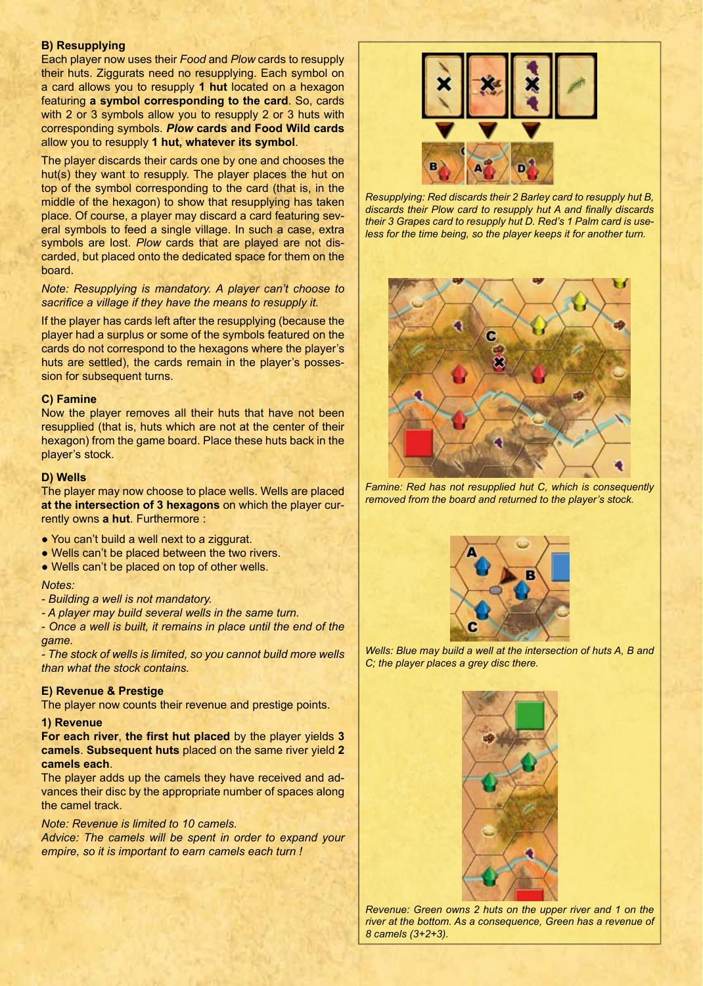#### **B) Resupplying**

Each player now uses their *Food* and *Plow* cards to resupply their huts. Ziggurats need no resupplying. Each symbol on a card allows you to resupply **1 hut** located on a hexagon featuring **a symbol corresponding to the card**. So, cards with 2 or 3 symbols allow you to resupply 2 or 3 huts with corresponding symbols. *Plow* **cards and Food Wild cards** allow you to resupply **1 hut, whatever its symbol**.

The player discards their cards one by one and chooses the hut(s) they want to resupply. The player places the hut on top of the symbol corresponding to the card (that is, in the middle of the hexagon) to show that resupplying has taken place. Of course, a player may discard a card featuring several symbols to feed a single village. In such a case, extra symbols are lost. *Plow* cards that are played are not discarded, but placed onto the dedicated space for them on the board.

#### *Note: Resupplying is mandatory. A player can't choose to sacrifice a village if they have the means to resupply it.*

If the player has cards left after the resupplying (because the player had a surplus or some of the symbols featured on the cards do not correspond to the hexagons where the player's huts are settled), the cards remain in the player's possession for subsequent turns.

#### **C) Famine**

Now the player removes all their huts that have not been resupplied (that is, huts which are not at the center of their hexagon) from the game board. Place these huts back in the player's stock.

#### **D) Wells**

The player may now choose to place wells. Wells are placed **at the intersection of 3 hexagons** on which the player currently owns **a hut**. Furthermore :

- You can't build a well next to a ziggurat.
- Wells can't be placed between the two rivers.
- Wells can't be placed on top of other wells.

#### *Notes:*

- *Building a well is not mandatory.*
- *A player may build several wells in the same turn.*

*- Once a well is built, it remains in place until the end of the game.*

*- The stock of wells is limited, so you cannot build more wells than what the stock contains.* 

#### **E) Revenue & Prestige**

The player now counts their revenue and prestige points.

#### **1) Revenue**

**For each river**, **the first hut placed** by the player yields **3 camels**. **Subsequent huts** placed on the same river yield **2 camels each**.

The player adds up the camels they have received and advances their disc by the appropriate number of spaces along the camel track.

#### *Note: Revenue is limited to 10 camels.*

*Advice: The camels will be spent in order to expand your empire, so it is important to earn camels each turn !*



*Resupplying: Red discards their 2 Barley card to resupply hut B, discards their Plow card to resupply hut A and finally discards their 3 Grapes card to resupply hut D. Red's 1 Palm card is useless for the time being, so the player keeps it for another turn.* 



*Famine: Red has not resupplied hut C, which is consequently removed from the board and returned to the player's stock.* 



*Wells: Blue may build a well at the intersection of huts A, B and C; the player places a grey disc there.* 



*Revenue: Green owns 2 huts on the upper river and 1 on the river at the bottom. As a consequence, Green has a revenue of 8 camels (3+2+3).*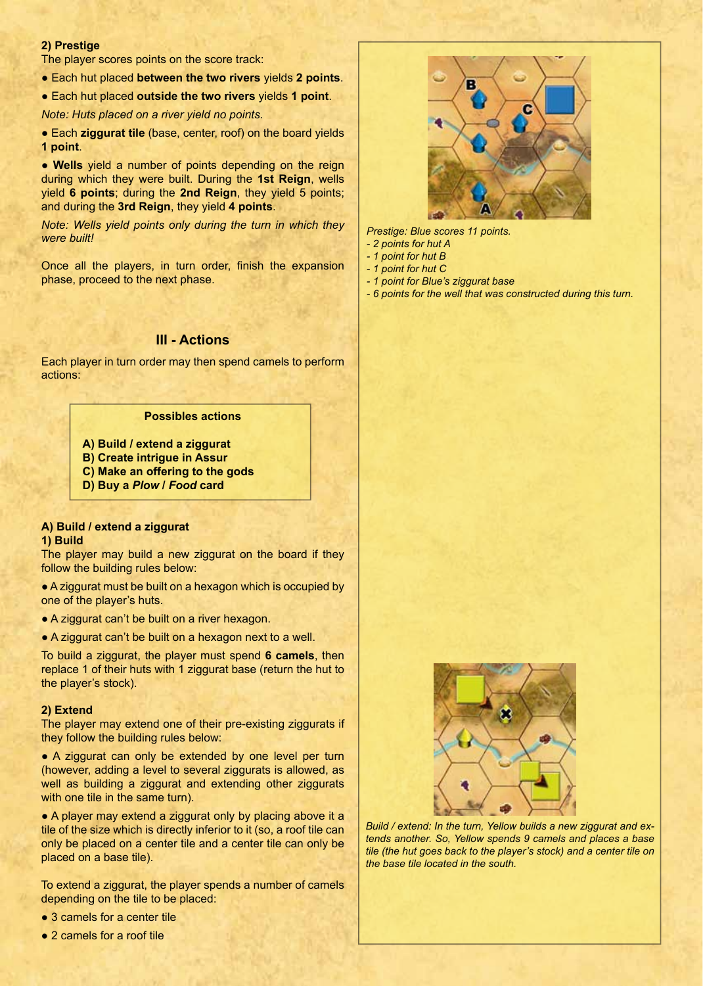#### **2) Prestige**

The player scores points on the score track:

- Each hut placed **between the two rivers** yields **2 points**.
- Each hut placed **outside the two rivers** yields **1 point**.

*Note: Huts placed on a river yield no points.*

● Each **ziggurat tile** (base, center, roof) on the board yields **1 point**.

● **Wells** yield a number of points depending on the reign during which they were built. During the **1st Reign**, wells yield **6 points**; during the **2nd Reign**, they yield 5 points; and during the **3rd Reign**, they yield **4 points**.

*Note: Wells yield points only during the turn in which they were built!*

Once all the players, in turn order, finish the expansion phase, proceed to the next phase.

#### **III - Actions**

Each player in turn order may then spend camels to perform actions:

#### **Possibles actions**

- **A) Build / extend a ziggurat**
- **B) Create intrigue in Assur**
- **C) Make an offering to the gods**
- **D) Buy a** *Plow* **/** *Food* **card**

#### **A) Build / extend a ziggurat**

#### **1) Build**

The player may build a new ziggurat on the board if they follow the building rules below:

● A ziggurat must be built on a hexagon which is occupied by one of the player's huts.

● A ziggurat can't be built on a river hexagon.

● A ziggurat can't be built on a hexagon next to a well.

To build a ziggurat, the player must spend **6 camels**, then replace 1 of their huts with 1 ziggurat base (return the hut to the player's stock).

#### **2) Extend**

The player may extend one of their pre-existing ziggurats if they follow the building rules below:

• A ziggurat can only be extended by one level per turn (however, adding a level to several ziggurats is allowed, as well as building a ziggurat and extending other ziggurats with one tile in the same turn).

• A player may extend a ziggurat only by placing above it a tile of the size which is directly inferior to it (so, a roof tile can only be placed on a center tile and a center tile can only be placed on a base tile).

To extend a ziggurat, the player spends a number of camels depending on the tile to be placed:

- 3 camels for a center tile
- 2 camels for a roof tile



*Prestige: Blue scores 11 points.*

- *2 points for hut A*
- *1 point for hut B*
- *1 point for hut C*
- *1 point for Blue's ziggurat base*
- *6 points for the well that was constructed during this turn.*



*Build / extend: In the turn, Yellow builds a new ziggurat and extends another. So, Yellow spends 9 camels and places a base tile (the hut goes back to the player's stock) and a center tile on the base tile located in the south.*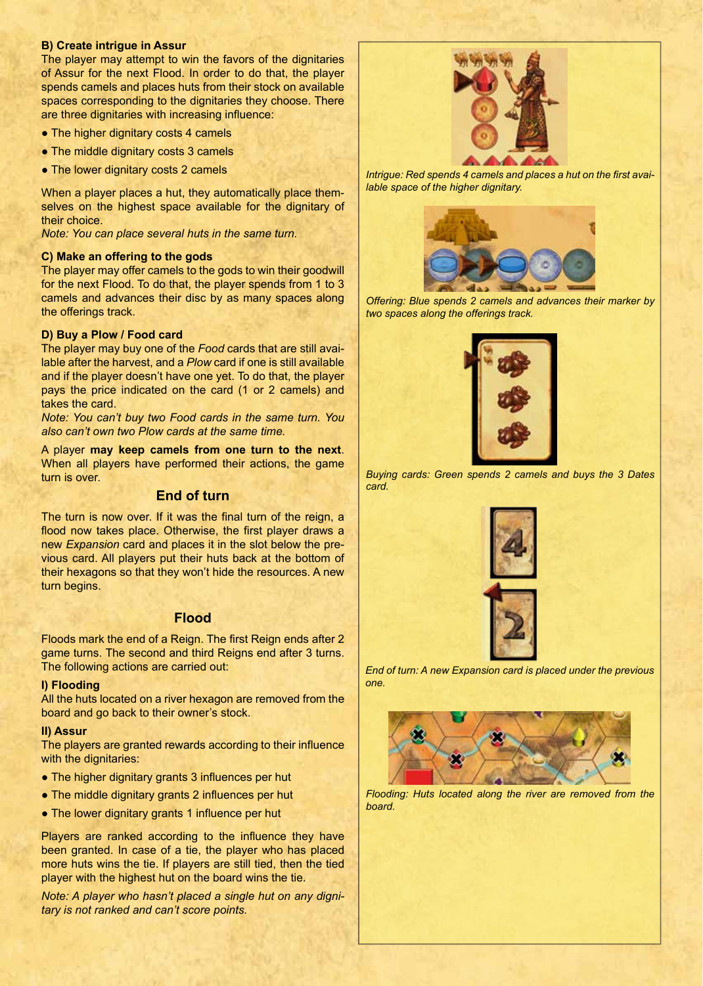#### **B) Create intrigue in Assur**

The player may attempt to win the favors of the dignitaries of Assur for the next Flood. In order to do that, the player spends camels and places huts from their stock on available spaces corresponding to the dignitaries they choose. There are three dignitaries with increasing influence:

- The higher dignitary costs 4 camels
- The middle dignitary costs 3 camels
- The lower dignitary costs 2 camels

When a player places a hut, they automatically place themselves on the highest space available for the dignitary of their choice.

*Note: You can place several huts in the same turn.* 

#### **C) Make an offering to the gods**

The player may offer camels to the gods to win their goodwill for the next Flood. To do that, the player spends from 1 to 3 camels and advances their disc by as many spaces along the offerings track.

#### **D) Buy a Plow / Food card**

The player may buy one of the *Food* cards that are still available after the harvest, and a *Plow* card if one is still available and if the player doesn't have one yet. To do that, the player pays the price indicated on the card (1 or 2 camels) and takes the card.

*Note: You can't buy two Food cards in the same turn. You also can't own two Plow cards at the same time.* 

A player **may keep camels from one turn to the next**. When all players have performed their actions, the game turn is over.

#### **End of turn**

The turn is now over. If it was the final turn of the reign, a flood now takes place. Otherwise, the first player draws a new *Expansion* card and places it in the slot below the previous card. All players put their huts back at the bottom of their hexagons so that they won't hide the resources. A new turn begins.

#### **Flood**

Floods mark the end of a Reign. The first Reign ends after 2 game turns. The second and third Reigns end after 3 turns. The following actions are carried out:

#### **I) Flooding**

All the huts located on a river hexagon are removed from the board and go back to their owner's stock.

#### **II) Assur**

The players are granted rewards according to their influence with the dignitaries:

- The higher dignitary grants 3 influences per hut
- The middle dignitary grants 2 influences per hut
- The lower dignitary grants 1 influence per hut

Players are ranked according to the influence they have been granted. In case of a tie, the player who has placed more huts wins the tie. If players are still tied, then the tied player with the highest hut on the board wins the tie.

*Note: A player who hasn't placed a single hut on any dignitary is not ranked and can't score points.* 



*Intrigue: Red spends 4 camels and places a hut on the first available space of the higher dignitary.* 



*Offering: Blue spends 2 camels and advances their marker by two spaces along the offerings track.*



*Buying cards: Green spends 2 camels and buys the 3 Dates card.*



*End of turn: A new Expansion card is placed under the previous one.*



*Flooding: Huts located along the river are removed from the board.*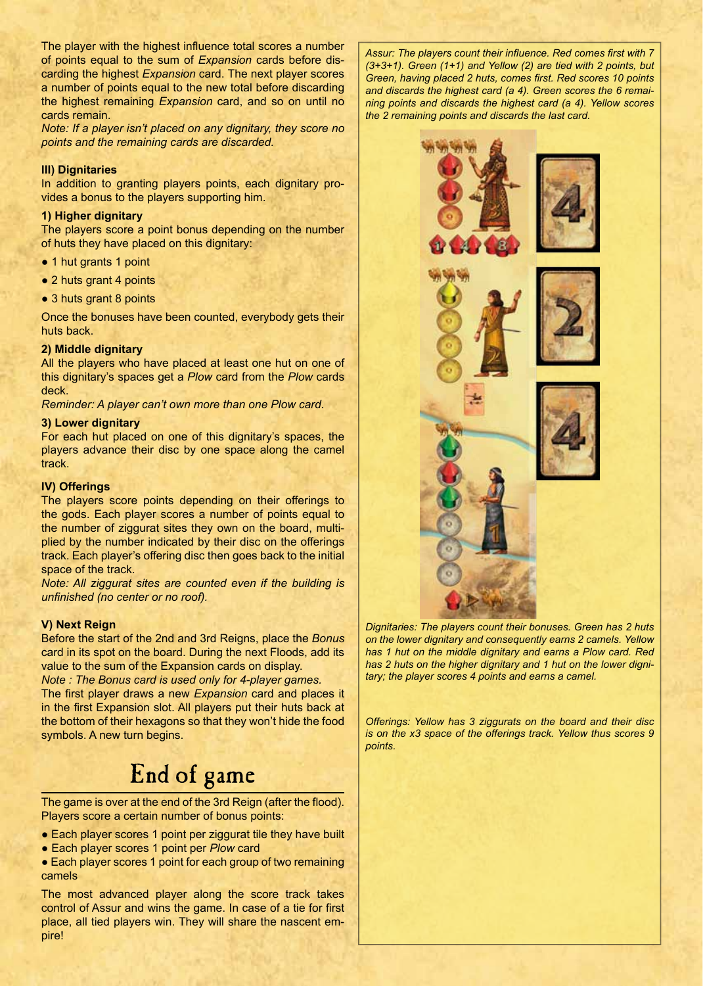The player with the highest influence total scores a number of points equal to the sum of *Expansion* cards before discarding the highest *Expansion* card. The next player scores a number of points equal to the new total before discarding the highest remaining *Expansion* card, and so on until no cards remain.

*Note: If a player isn't placed on any dignitary, they score no points and the remaining cards are discarded.* 

#### **III) Dignitaries**

In addition to granting players points, each dignitary provides a bonus to the players supporting him.

#### **1) Higher dignitary**

The players score a point bonus depending on the number of huts they have placed on this dignitary:

- 1 hut grants 1 point
- 2 huts grant 4 points
- 3 huts grant 8 points

Once the bonuses have been counted, everybody gets their huts back.

#### **2) Middle dignitary**

All the players who have placed at least one hut on one of this dignitary's spaces get a *Plow* card from the *Plow* cards deck.

*Reminder: A player can't own more than one Plow card.*

#### **3) Lower dignitary**

For each hut placed on one of this dignitary's spaces, the players advance their disc by one space along the camel track.

#### **IV) Offerings**

The players score points depending on their offerings to the gods. Each player scores a number of points equal to the number of ziggurat sites they own on the board, multiplied by the number indicated by their disc on the offerings track. Each player's offering disc then goes back to the initial space of the track.

*Note: All ziggurat sites are counted even if the building is unfinished (no center or no roof).* 

#### **V) Next Reign**

symbols. A new turn begins.

Before the start of the 2nd and 3rd Reigns, place the *Bonus*  card in its spot on the board. During the next Floods, add its value to the sum of the Expansion cards on display.

*Note : The Bonus card is used only for 4-player games.* The first player draws a new *Expansion* card and places it in the first Expansion slot. All players put their huts back at the bottom of their hexagons so that they won't hide the food

# End of game

The game is over at the end of the 3rd Reign (after the flood). Players score a certain number of bonus points:

- Each player scores 1 point per ziggurat tile they have built
- Each player scores 1 point per *Plow* card

• Each player scores 1 point for each group of two remaining camels

The most advanced player along the score track takes control of Assur and wins the game. In case of a tie for first place, all tied players win. They will share the nascent empire!

*Assur: The players count their influence. Red comes first with 7 (3+3+1). Green (1+1) and Yellow (2) are tied with 2 points, but Green, having placed 2 huts, comes first. Red scores 10 points and discards the highest card (a 4). Green scores the 6 remaining points and discards the highest card (a 4). Yellow scores the 2 remaining points and discards the last card.* 

*Dignitaries: The players count their bonuses. Green has 2 huts on the lower dignitary and consequently earns 2 camels. Yellow has 1 hut on the middle dignitary and earns a Plow card. Red has 2 huts on the higher dignitary and 1 hut on the lower dignitary; the player scores 4 points and earns a camel.* 

*Offerings: Yellow has 3 ziggurats on the board and their disc is on the x3 space of the offerings track. Yellow thus scores 9 points.*